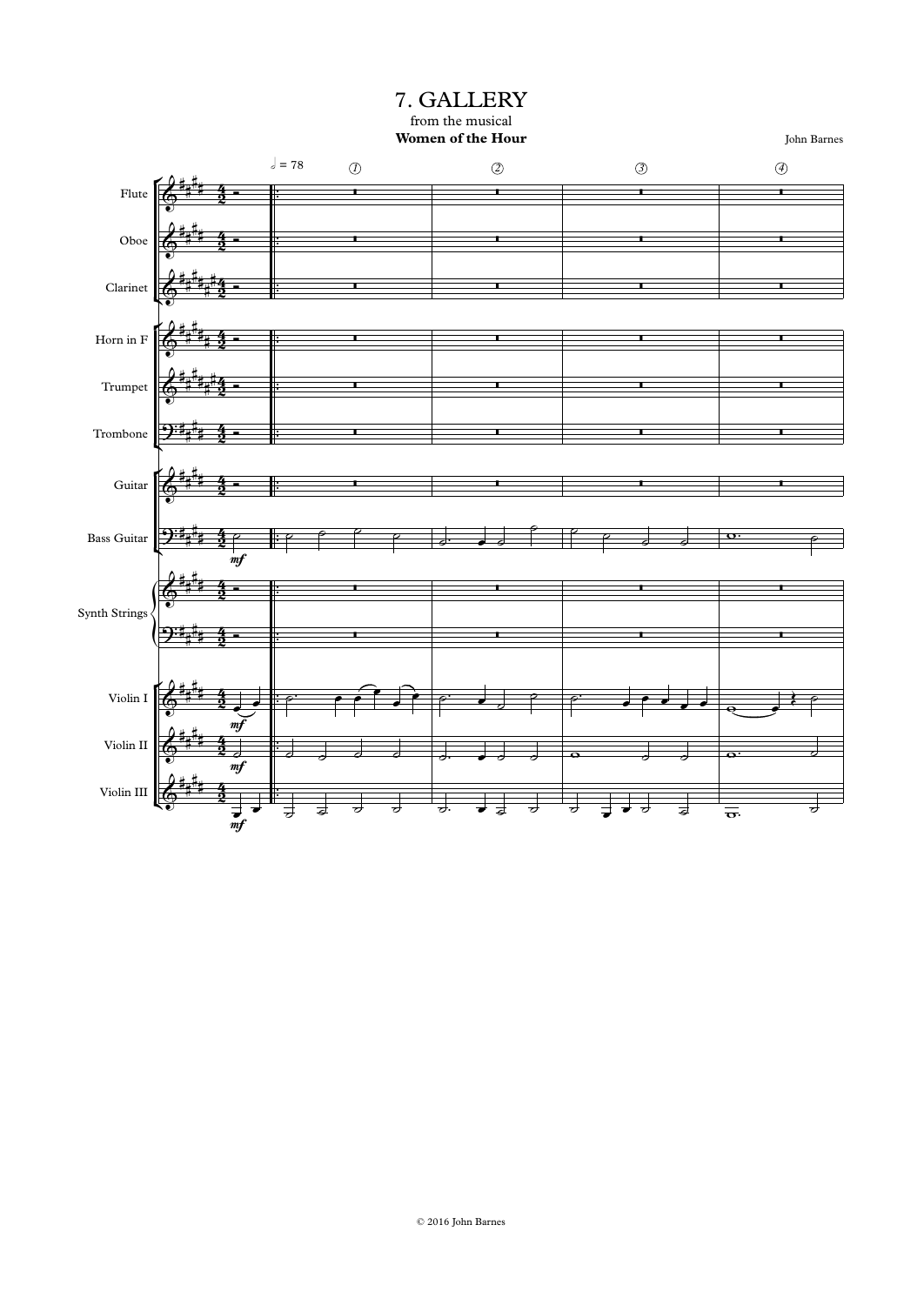from the musical **Women of the Hour** 7. GALLERY

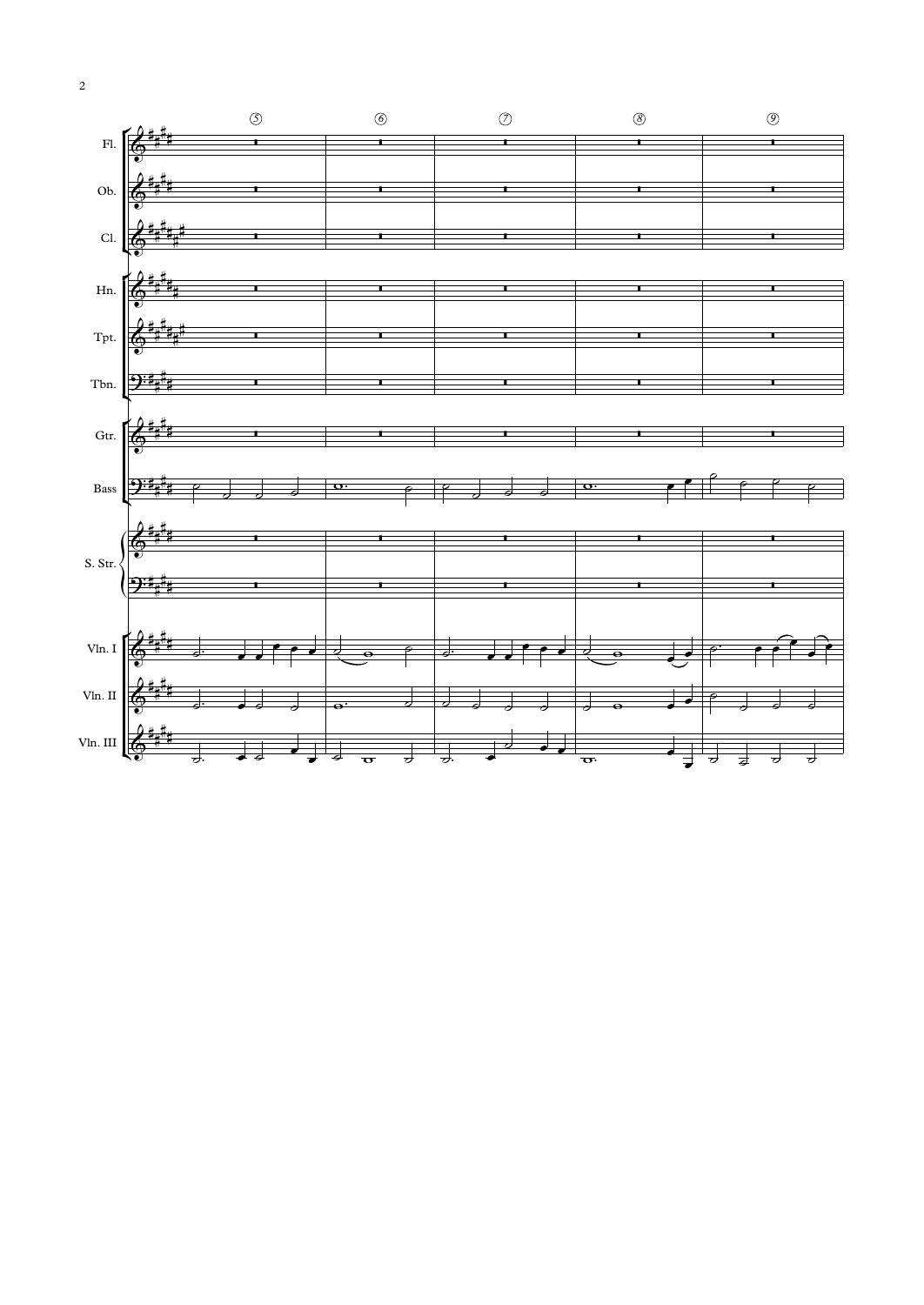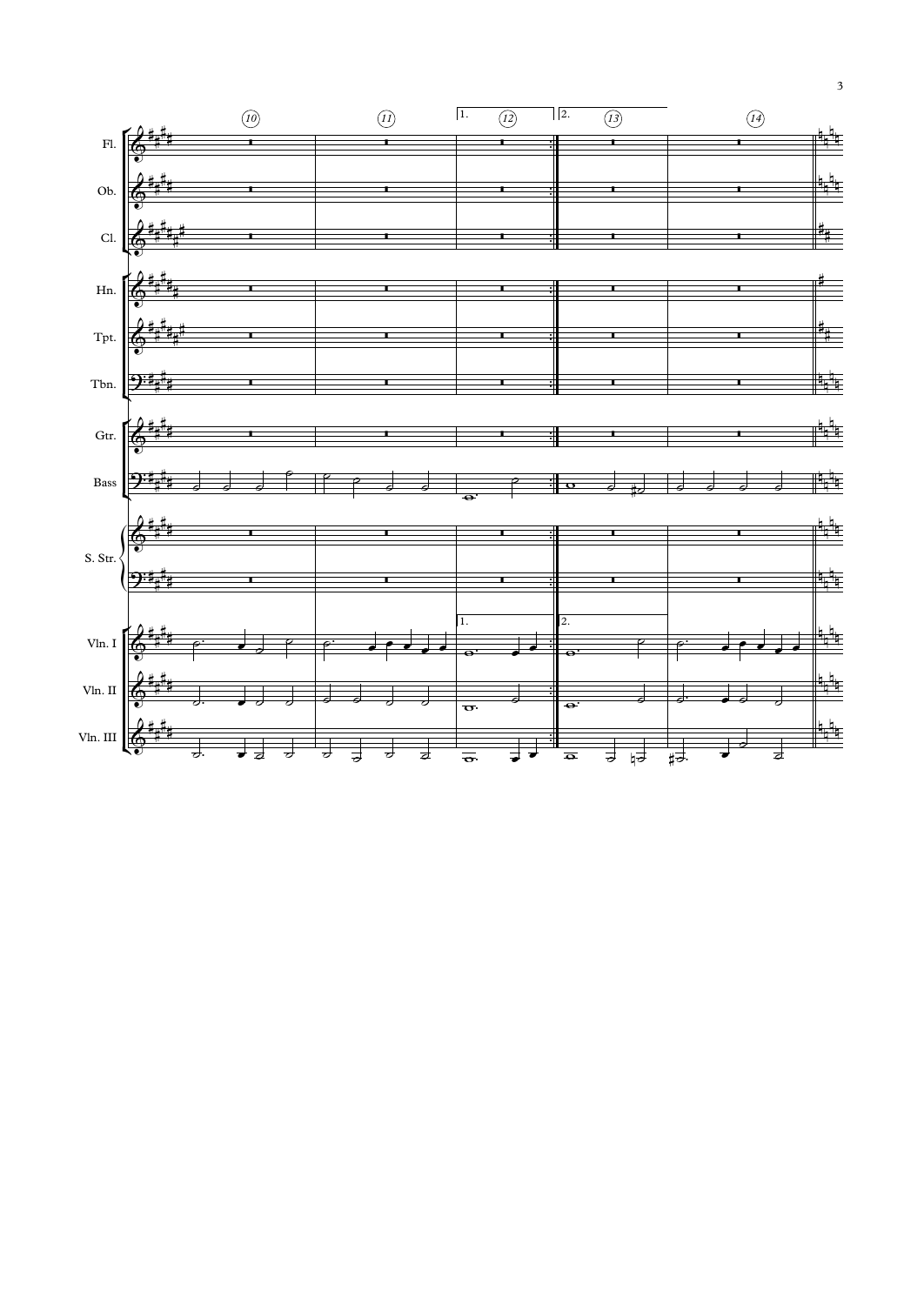

 $\overline{\mathbf{3}}$